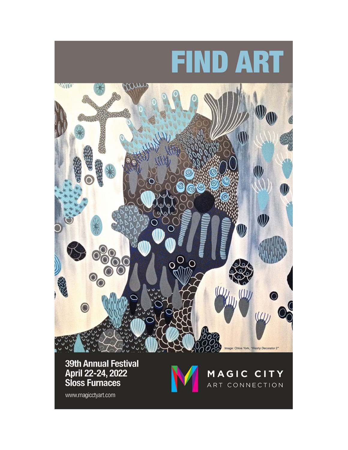

April 22-24, 2022 **Sloss Furnaces** 



MAGIC CITY ART CONNECTION

www.magicctyart.com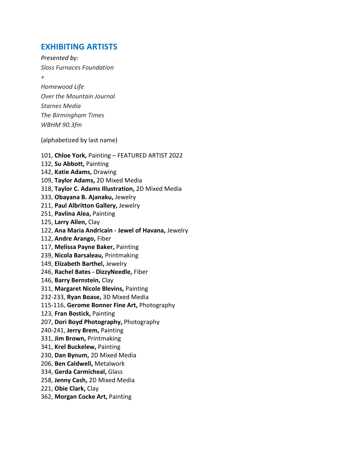# **EXHIBITING ARTISTS**

*Presented by: Sloss Furnaces Foundation + Homewood Life Over the Mountain Journal Starnes Media The Birmingham Times WBHM 90.3fm*

(alphabetized by last name)

101, **Chloe York,** Painting – FEATURED ARTIST 2022 132, **Su Abbott,** Painting 142, **Katie Adams,** Drawing 109, **Taylor Adams,** 2D Mixed Media 318, **Taylor C. Adams Illustration,** 2D Mixed Media 333, **Obayana B. Ajanaku,** Jewelry 211, **Paul Albritton Gallery,** Jewelry 251, **Pavlina Alea,** Painting 125, **Larry Allen,** Clay 122, **Ana Maria Andricain - Jewel of Havana,** Jewelry 112, **Andre Arango,** Fiber 117, **Melissa Payne Baker,** Painting 239, **Nicola Barsaleau,** Printmaking 149, **Elizabeth Barthel,** Jewelry 246, **Rachel Bates - DizzyNeedle,** Fiber 146, **Barry Bernstein,** Clay 311, **Margaret Nicole Blevins,** Painting 232-233, **Ryan Boase,** 3D Mixed Media 115-116, **Gerome Bonner Fine Art,** Photography 123, **Fran Bostick,** Painting 207, **Dori Boyd Photography,** Photography 240-241, **Jerry Brem,** Painting 331, **Jim Brown,** Printmaking 341, **Krel Buckelew,** Painting 230, **Dan Bynum,** 2D Mixed Media 206, **Ben Caldwell,** Metalwork 334, **Gerda Carmicheal,** Glass 258, **Jenny Cash,** 2D Mixed Media 221, **Obie Clark,** Clay 362, **Morgan Cocke Art,** Painting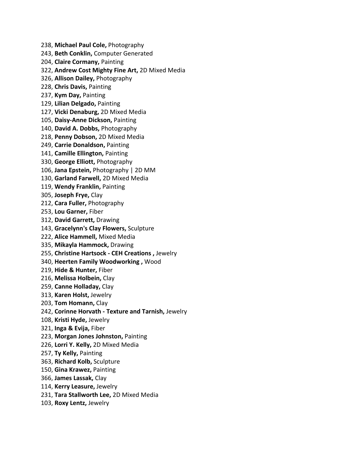238, **Michael Paul Cole,** Photography

243, **Beth Conklin,** Computer Generated

204, **Claire Cormany,** Painting

322, **Andrew Cost Mighty Fine Art,** 2D Mixed Media

326, **Allison Dailey,** Photography

228, **Chris Davis,** Painting

237, **Kym Day,** Painting

129, **Lilian Delgado,** Painting

127, **Vicki Denaburg,** 2D Mixed Media

105, **Daisy-Anne Dickson,** Painting

140, **David A. Dobbs,** Photography

218, **Penny Dobson,** 2D Mixed Media

249, **Carrie Donaldson,** Painting

141, **Camille Ellington,** Painting

330, **George Elliott,** Photography

106, **Jana Epstein,** Photography | 2D MM

130, **Garland Farwell,** 2D Mixed Media

119, **Wendy Franklin,** Painting

305, **Joseph Frye,** Clay

212, **Cara Fuller,** Photography

253, **Lou Garner,** Fiber

312, **David Garrett,** Drawing

143, **Gracelynn's Clay Flowers,** Sculpture

222, **Alice Hammell,** Mixed Media

335, **Mikayla Hammock,** Drawing

255, **Christine Hartsock - CEH Creations ,** Jewelry

340, **Heerten Family Woodworking ,** Wood

219, **Hide & Hunter,** Fiber

216, **Melissa Holbein,** Clay

259, **Canne Holladay,** Clay

313, **Karen Holst,** Jewelry

203, **Tom Homann,** Clay

242, **Corinne Horvath - Texture and Tarnish,** Jewelry

108, **Kristi Hyde,** Jewelry

321, **Inga & Evija,** Fiber

223, **Morgan Jones Johnston,** Painting

226, **Lorri Y. Kelly,** 2D Mixed Media

257, **Ty Kelly,** Painting

363, **Richard Kolb,** Sculpture

150, **Gina Krawez,** Painting

366, **James Lassak,** Clay

114, **Kerry Leasure,** Jewelry

231, **Tara Stallworth Lee,** 2D Mixed Media

103, **Roxy Lentz,** Jewelry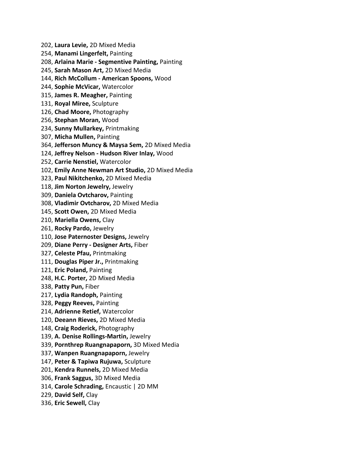202, **Laura Levie,** 2D Mixed Media

254, **Manami Lingerfelt,** Painting

208, **Arlaina Marie - Segmentive Painting,** Painting

245, **Sarah Mason Art,** 2D Mixed Media

144, **Rich McCollum - American Spoons,** Wood

244, **Sophie McVicar,** Watercolor

315, **James R. Meagher,** Painting

- 131, **Royal Miree,** Sculpture
- 126, **Chad Moore,** Photography
- 256, **Stephan Moran,** Wood

234, **Sunny Mullarkey,** Printmaking

307, **Micha Mullen,** Painting

364, **Jefferson Muncy & Maysa Sem,** 2D Mixed Media

124, **Jeffrey Nelson - Hudson River Inlay,** Wood

252, **Carrie Nenstiel,** Watercolor

102, **Emily Anne Newman Art Studio,** 2D Mixed Media

323, **Paul Nikitchenko,** 2D Mixed Media

118, **Jim Norton Jewelry,** Jewelry

309, **Daniela Ovtcharov,** Painting

308, **Vladimir Ovtcharov,** 2D Mixed Media

145, **Scott Owen,** 2D Mixed Media

210, **Mariella Owens,** Clay

261, **Rocky Pardo,** Jewelry

110, **Jose Paternoster Designs,** Jewelry

209, **Diane Perry - Designer Arts,** Fiber

327, **Celeste Pfau,** Printmaking

111, **Douglas Piper Jr.,** Printmaking

121, **Eric Poland,** Painting

248, **H.C. Porter,** 2D Mixed Media

338, **Patty Pun,** Fiber

217, **Lydia Randoph,** Painting

328, **Peggy Reeves,** Painting

214, **Adrienne Retief,** Watercolor

120, **Deeann Rieves,** 2D Mixed Media

148, **Craig Roderick,** Photography

139, **A. Denise Rollings-Martin,** Jewelry

339, **Pornthrep Ruangnapaporn,** 3D Mixed Media

337, **Wanpen Ruangnapaporn,** Jewelry

147, **Peter & Tapiwa Rujuwa,** Sculpture

201, **Kendra Runnels,** 2D Mixed Media

306, **Frank Saggus,** 3D Mixed Media

314, **Carole Schrading,** Encaustic | 2D MM

229, **David Self,** Clay

336, **Eric Sewell,** Clay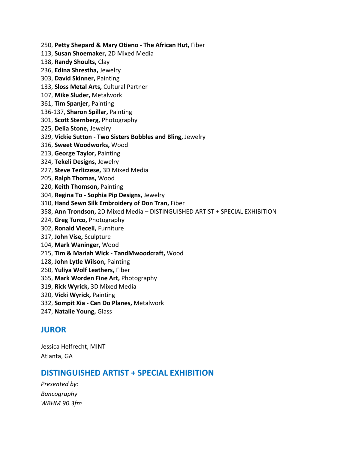250, **Petty Shepard & Mary Otieno - The African Hut,** Fiber

113, **Susan Shoemaker,** 2D Mixed Media

- 138, **Randy Shoults,** Clay
- 236, **Edina Shrestha,** Jewelry
- 303, **David Skinner,** Painting
- 133, **Sloss Metal Arts,** Cultural Partner
- 107, **Mike Sluder,** Metalwork
- 361, **Tim Spanjer,** Painting
- 136-137, **Sharon Spillar,** Painting
- 301, **Scott Sternberg,** Photography
- 225, **Delia Stone,** Jewelry
- 329, **Vickie Sutton - Two Sisters Bobbles and Bling,** Jewelry
- 316, **Sweet Woodworks,** Wood
- 213, **George Taylor,** Painting
- 324, **Tekeli Designs,** Jewelry
- 227, **Steve Terlizzese,** 3D Mixed Media
- 205, **Ralph Thomas,** Wood
- 220, **Keith Thomson,** Painting
- 304, **Regina To - Sophia Pip Designs,** Jewelry
- 310, **Hand Sewn Silk Embroidery of Don Tran,** Fiber
- 358, **Ann Trondson,** 2D Mixed Media DISTINGUISHED ARTIST + SPECIAL EXHIBITION
- 224, **Greg Turco,** Photography
- 302, **Ronald Vieceli,** Furniture
- 317, **John Vise,** Sculpture
- 104, **Mark Waninger,** Wood
- 215, **Tim & Mariah Wick - TandMwoodcraft,** Wood
- 128, **John Lytle Wilson,** Painting
- 260, **Yuliya Wolf Leathers,** Fiber
- 365, **Mark Worden Fine Art,** Photography
- 319, **Rick Wyrick,** 3D Mixed Media
- 320, **Vicki Wyrick,** Painting
- 332, **Sompit Xia - Can Do Planes,** Metalwork
- 247, **Natalie Young,** Glass

# **JUROR**

Jessica Helfrecht, MINT Atlanta, GA

## **DISTINGUISHED ARTIST + SPECIAL EXHIBITION**

*Presented by: Bancography WBHM 90.3fm*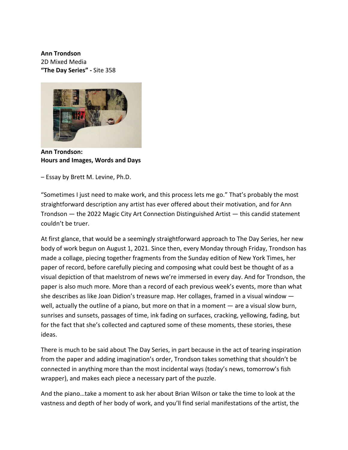**Ann Trondson**

2D Mixed Media **"The Day Series" -** Site 358



**Ann Trondson: Hours and Images, Words and Days**

– Essay by Brett M. Levine, Ph.D.

"Sometimes I just need to make work, and this process lets me go." That's probably the most straightforward description any artist has ever offered about their motivation, and for Ann Trondson — the 2022 Magic City Art Connection Distinguished Artist — this candid statement couldn't be truer.

At first glance, that would be a seemingly straightforward approach to The Day Series, her new body of work begun on August 1, 2021. Since then, every Monday through Friday, Trondson has made a collage, piecing together fragments from the Sunday edition of New York Times, her paper of record, before carefully piecing and composing what could best be thought of as a visual depiction of that maelstrom of news we're immersed in every day. And for Trondson, the paper is also much more. More than a record of each previous week's events, more than what she describes as like Joan Didion's treasure map. Her collages, framed in a visual window well, actually the outline of a piano, but more on that in a moment — are a visual slow burn, sunrises and sunsets, passages of time, ink fading on surfaces, cracking, yellowing, fading, but for the fact that she's collected and captured some of these moments, these stories, these ideas.

There is much to be said about The Day Series, in part because in the act of tearing inspiration from the paper and adding imagination's order, Trondson takes something that shouldn't be connected in anything more than the most incidental ways (today's news, tomorrow's fish wrapper), and makes each piece a necessary part of the puzzle.

And the piano…take a moment to ask her about Brian Wilson or take the time to look at the vastness and depth of her body of work, and you'll find serial manifestations of the artist, the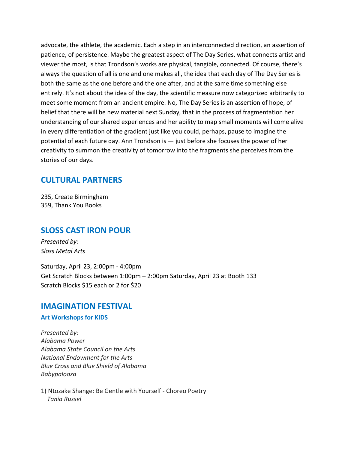advocate, the athlete, the academic. Each a step in an interconnected direction, an assertion of patience, of persistence. Maybe the greatest aspect of The Day Series, what connects artist and viewer the most, is that Trondson's works are physical, tangible, connected. Of course, there's always the question of all is one and one makes all, the idea that each day of The Day Series is both the same as the one before and the one after, and at the same time something else entirely. It's not about the idea of the day, the scientific measure now categorized arbitrarily to meet some moment from an ancient empire. No, The Day Series is an assertion of hope, of belief that there will be new material next Sunday, that in the process of fragmentation her understanding of our shared experiences and her ability to map small moments will come alive in every differentiation of the gradient just like you could, perhaps, pause to imagine the potential of each future day. Ann Trondson is — just before she focuses the power of her creativity to summon the creativity of tomorrow into the fragments she perceives from the stories of our days.

# **CULTURAL PARTNERS**

235, Create Birmingham 359, Thank You Books

# **SLOSS CAST IRON POUR**

*Presented by: Sloss Metal Arts*

Saturday, April 23, 2:00pm - 4:00pm Get Scratch Blocks between 1:00pm – 2:00pm Saturday, April 23 at Booth 133 Scratch Blocks \$15 each or 2 for \$20

## **IMAGINATION FESTIVAL**

### **Art Workshops for KIDS**

*Presented by: Alabama Power Alabama State Council on the Arts National Endowment for the Arts Blue Cross and Blue Shield of Alabama Babypalooza*

1) Ntozake Shange: Be Gentle with Yourself - Choreo Poetry  *Tania Russel*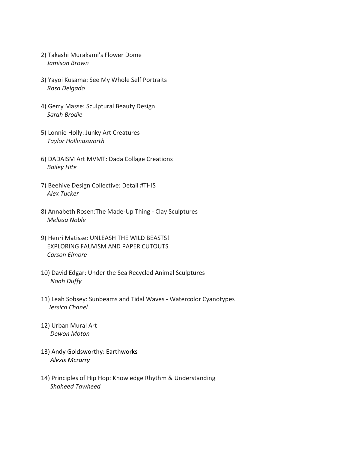- 2) Takashi Murakami's Flower Dome  *Jamison Brown*
- 3) Yayoi Kusama: See My Whole Self Portraits  *Rosa Delgado*
- 4) Gerry Masse: Sculptural Beauty Design  *Sarah Brodie*
- 5) Lonnie Holly: Junky Art Creatures  *Taylor Hollingsworth*
- 6) DADAISM Art MVMT: Dada Collage Creations  *Bailey Hite*
- 7) Beehive Design Collective: Detail #THIS  *Alex Tucker*
- 8) Annabeth Rosen:The Made-Up Thing Clay Sculptures  *Melissa Noble*
- 9) Henri Matisse: UNLEASH THE WILD BEASTS! EXPLORING FAUVISM AND PAPER CUTOUTS  *Carson Elmore*
- 10) David Edgar: Under the Sea Recycled Animal Sculptures  *Noah Duffy*
- 11) Leah Sobsey: Sunbeams and Tidal Waves Watercolor Cyanotypes  *Jessica Chanel*
- 12) Urban Mural Art  *Dewon Moton*
- 13) Andy Goldsworthy: Earthworks *Alexis Mcrarry*
- 14) Principles of Hip Hop: Knowledge Rhythm & Understanding  *Shaheed Tawheed*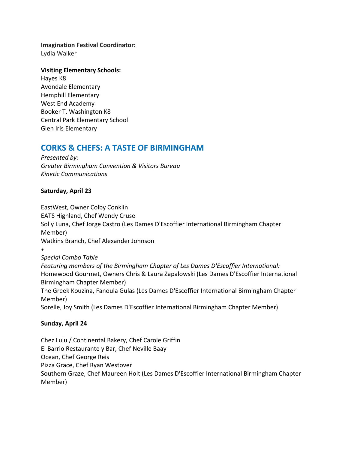**Imagination Festival Coordinator:** Lydia Walker

**Visiting Elementary Schools:** Hayes K8 Avondale Elementary Hemphill Elementary West End Academy Booker T. Washington K8 Central Park Elementary School Glen Iris Elementary

# **CORKS & CHEFS: A TASTE OF BIRMINGHAM**

*Presented by: Greater Birmingham Convention & Visitors Bureau Kinetic Communications*

## **Saturday, April 23**

[EastWest,](https://www.eastwestbirmingham.com/) Owner Colby Conklin [EATS Highland,](https://eatshighland.com/) Chef Wendy Cruse [Sol y Luna,](https://www.solylunabham.com/) Chef Jorge Castro (Les Dames D'Escoffier International Birmingham Chapter Member) [Watkins Branch,](https://www.watkinsbranch.com/) Chef Alexander Johnson *+ Special Combo Table Featuring members of the Birmingham Chapter of [Les Dames D'Escoffier International:](https://www.ldeibirmingham.org/)*  [Homewood Gourmet,](https://homewoodgourmet.com/) Owners Chris & Laura Zapalowski (Les Dames D'Escoffier International Birmingham Chapter Member) [The Greek Kouzina,](https://www.facebook.com/The-Greek-Kouzina-234010630092172/) Fanoula Gulas (Les Dames D'Escoffier International Birmingham Chapter Member) [Sorelle,](https://www.facebook.com/Sorelle1000/) Joy Smith (Les Dames D'Escoffier International Birmingham Chapter Member)

## **Sunday, April 24**

[Chez Lulu / Continental Bakery,](http://www.chezlulu.us/) Chef Carole Griffin [El Barrio Restaurante y Bar,](https://www.elbarriobirmingham.com/) Chef Neville Baay [Ocean,](http://www.oceanbirmingham.com/home) Chef George Reis [Pizza Grace,](https://pizzagrace.com/) Chef Ryan Westover [Southern Graze,](https://www.facebook.com/southerngraze) Chef Maureen Holt (Les Dames D'Escoffier International Birmingham Chapter Member)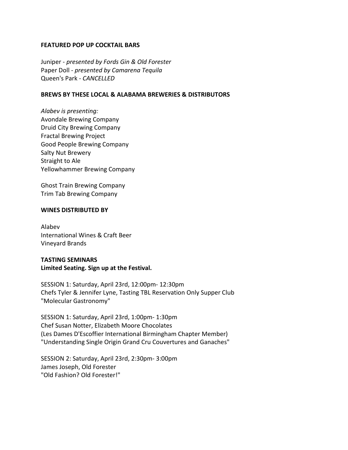#### **FEATURED POP UP COCKTAIL BARS**

[Juniper](https://www.juniperbham.com/) - *presented by [Fords Gin](https://www.fordsgin.com/) & [Old Forester](https://www.oldforester.com/)* [Paper Doll](https://www.paperdollbar.com/) - *presented by [Camarena Tequila](https://www.tequilacamarena.com/)* [Queen's Park](https://www.queensparkbham.com/) *- CANCELLED*

#### **BREWS BY THESE LOCAL & ALABAMA BREWERIES & DISTRIBUTORS**

*Alabev is presenting:* [Avondale Brewing Company](https://www.avondalebrewing.com/) [Druid City Brewing Company](http://druidcitybrewing.com/) [Fractal Brewing Project](https://fractalbrewing.com/) [Good People Brewing Company](https://www.goodpeoplebrewing.com/) [Salty Nut Brewery](http://www.saltynutbrewery.com/) [Straight to Ale](https://straighttoale.com/) [Yellowhammer Brewing Company](https://www.yellowhammerbrewery.com/)

[Ghost Train Brewing Company](https://ghosttrainbrewing.com/) [Trim Tab Brewing Company](https://www.trimtabbrewing.com/)

#### **WINES DISTRIBUTED BY**

[Alabev](https://www.alabev.com/) [International Wines & Craft Beer](https://www.iwinebeer.com/) [Vineyard Brands](http://www.vineyardbrands.com/main.aspx?v20210916)

## **TASTING SEMINARS Limited Seating. Sign up at the Festival.**

SESSION 1: Saturday, April 23rd, 12:00pm- 12:30pm Chefs Tyler & Jennifer Lyne, Tasting TBL [Reservation Only Supper Club](https://www.tastingtbl.com/) "Molecular Gastronomy"

SESSION 1: Saturday, April 23rd, 1:00pm- 1:30pm Chef Susan Notter, [Elizabeth Moore Chocolates](https://elizabethmoorechocolates.com/) (Les Dames D'Escoffier International Birmingham Chapter Member) "Understanding Single Origin Grand Cru Couvertures and Ganaches"

SESSION 2: Saturday, April 23rd, 2:30pm- 3:00pm James Joseph[, Old Forester](https://www.oldforester.com/) "Old Fashion? Old Forester!"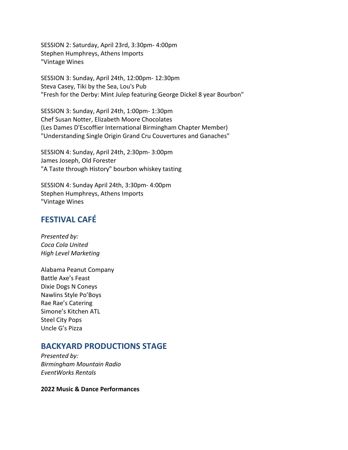SESSION 2: Saturday, April 23rd, 3:30pm- 4:00pm Stephen Humphreys, Athens Imports "Vintage Wines

SESSION 3: Sunday, April 24th, 12:00pm- 12:30pm Steva Casey, [Tiki by the Sea,](https://tikibythesea.com/) [Lou's Pub](https://www.louspub.com/) "Fresh for the Derby: Mint Julep featuring George Dickel 8 year Bourbon"

SESSION 3: Sunday, April 24th, 1:00pm- 1:30pm Chef Susan Notter, [Elizabeth Moore Chocolates](https://elizabethmoorechocolates.com/) (Les Dames D'Escoffier International Birmingham Chapter Member) "Understanding Single Origin Grand Cru Couvertures and Ganaches"

SESSION 4: Sunday, April 24th, 2:30pm- 3:00pm James Joseph[, Old Forester](https://www.oldforester.com/) "A Taste through History" bourbon whiskey tasting

SESSION 4: Sunday April 24th, 3:30pm- 4:00pm Stephen Humphreys, Athens Imports "Vintage Wines

# **FESTIVAL CAFÉ**

*Presented by: Coca Cola United High Level Marketing*

Alabama Peanut Company Battle Axe's Feast Dixie Dogs N Coneys Nawlins Style Po'Boys Rae Rae's Catering Simone's Kitchen ATL Steel City Pops Uncle G's Pizza

# **BACKYARD PRODUCTIONS STAGE**

*Presented by: Birmingham Mountain Radio EventWorks Rentals*

**2022 Music & Dance Performances**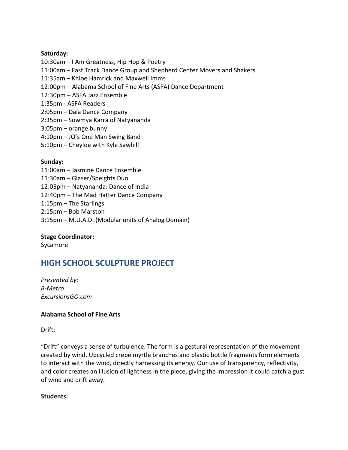### **Saturday:**

- 10:30am I Am Greatness, Hip Hop & Poetry
- 11:00am Fast Track Dance Group and Shepherd Center Movers and Shakers
- 11:35am Khloe Hamrick and Maxwell Imms
- 12:00pm Alabama School of Fine Arts (ASFA) Dance Department
- 12:30pm ASFA Jazz Ensemble
- 1:35pm ASFA Readers
- 2:05pm Dala Dance Company
- 2:35pm Sowmya Karra of Natyananda
- 3:05pm orange bunny
- 4:10pm JQ's One Man Swing Band
- 5:10pm Cheyloe with Kyle Sawhill

#### **Sunday:**

- 11:00am Jasmine Dance Ensemble
- 11:30am Glaser/Speights Duo
- 12:05pm Natyananda: Dance of India
- 12:40pm The Mad Hatter Dance Company
- 1:15pm The Starlings
- 2:15pm Bob Marston
- 3:15pm M.U.A.D. (Modular units of Analog Domain)

### **Stage Coordinator:**

Sycamore

# **HIGH SCHOOL SCULPTURE PROJECT**

*Presented by: B-Metro ExcursionsGO.com*

### **Alabama School of Fine Arts**

Drift:

"Drift" conveys a sense of turbulence. The form is a gestural representation of the movement created by wind. Upcycled crepe myrtle branches and plastic bottle fragments form elements to interact with the wind, directly harnessing its energy. Our use of transparency, reflectivity, and color creates an illusion of lightness in the piece, giving the impression it could catch a gust of wind and drift away.

#### **Students:**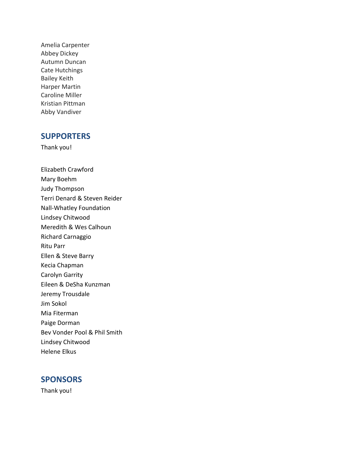Amelia Carpenter Abbey Dickey Autumn Duncan Cate Hutchings Bailey Keith Harper Martin Caroline Miller Kristian Pittman Abby Vandiver

# **SUPPORTERS**

Thank you!

Elizabeth Crawford Mary Boehm Judy Thompson Terri Denard & Steven Reider Nall-Whatley Foundation Lindsey Chitwood Meredith & Wes Calhoun Richard Carnaggio Ritu Parr Ellen & Steve Barry Kecia Chapman Carolyn Garrity Eileen & DeSha Kunzman Jeremy Trousdale Jim Sokol Mia Fiterman Paige Dorman Bev Vonder Pool & Phil Smith Lindsey Chitwood Helene Elkus

## **SPONSORS**

Thank you!